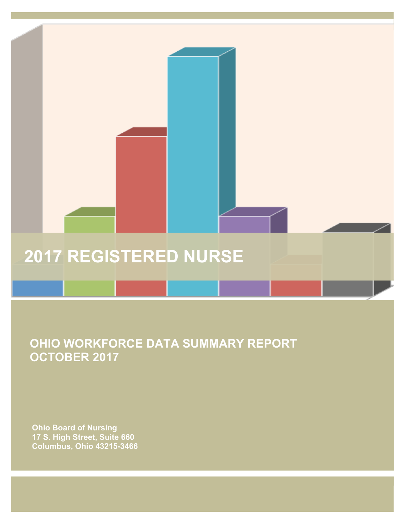# **2017 REGISTERED NURSE**

 **OHIO WORKFORCE DATA SUMMARY REPORT OCTOBER 2017**

 **Ohio Board of Nursing 17 S. High Street, Suite 660 Columbus, Ohio 43215-3466**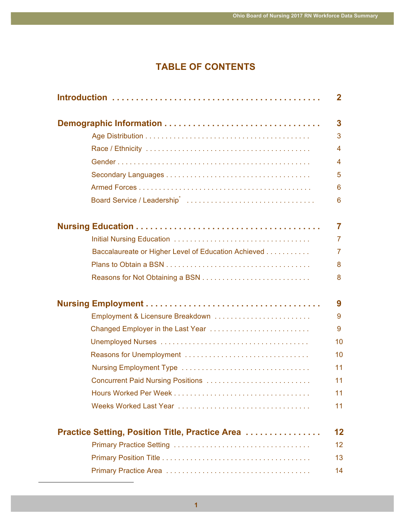## **TABLE OF CONTENTS**

| $\mathbf{2}$            |
|-------------------------|
| 3                       |
| 3                       |
| $\overline{\mathbf{4}}$ |
| $\overline{\mathbf{4}}$ |
| 5                       |
| 6                       |
| $6\phantom{1}6$         |
| $\overline{7}$          |
| $\overline{7}$          |
| $\overline{7}$          |
| 8                       |
| 8                       |
| 9                       |
| 9                       |
| 9                       |
| 10                      |
| 10                      |
| 11                      |
| 11                      |
| 11                      |
| 11                      |
| 12                      |
| 12                      |
| 13                      |
| 14                      |
|                         |

 $\overline{a}$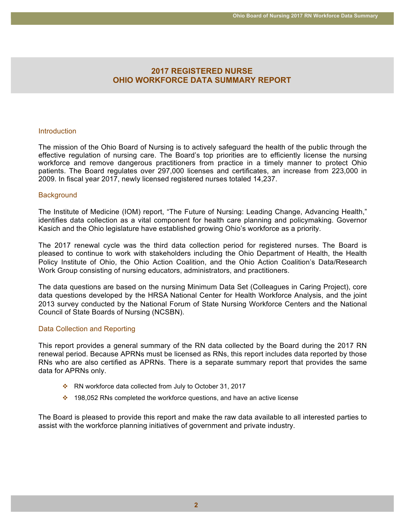## **2017 REGISTERED NURSE OHIO WORKFORCE DATA SUMMARY REPORT**

#### **Introduction**

The mission of the Ohio Board of Nursing is to actively safeguard the health of the public through the effective regulation of nursing care. The Board's top priorities are to efficiently license the nursing workforce and remove dangerous practitioners from practice in a timely manner to protect Ohio patients. The Board regulates over 297,000 licenses and certificates, an increase from 223,000 in 2009. In fiscal year 2017, newly licensed registered nurses totaled 14,237.

#### **Background**

The Institute of Medicine (IOM) report, "The Future of Nursing: Leading Change, Advancing Health," identifies data collection as a vital component for health care planning and policymaking. Governor Kasich and the Ohio legislature have established growing Ohio's workforce as a priority.

The 2017 renewal cycle was the third data collection period for registered nurses. The Board is pleased to continue to work with stakeholders including the Ohio Department of Health, the Health Policy Institute of Ohio, the Ohio Action Coalition, and the Ohio Action Coalition's Data/Research Work Group consisting of nursing educators, administrators, and practitioners.

The data questions are based on the nursing Minimum Data Set (Colleagues in Caring Project), core data questions developed by the HRSA National Center for Health Workforce Analysis, and the joint 2013 survey conducted by the National Forum of State Nursing Workforce Centers and the National Council of State Boards of Nursing (NCSBN).

#### Data Collection and Reporting

This report provides a general summary of the RN data collected by the Board during the 2017 RN renewal period. Because APRNs must be licensed as RNs, this report includes data reported by those RNs who are also certified as APRNs. There is a separate summary report that provides the same data for APRNs only.

- \* RN workforce data collected from July to October 31, 2017
- $\div$  198,052 RNs completed the workforce questions, and have an active license

The Board is pleased to provide this report and make the raw data available to all interested parties to assist with the workforce planning initiatives of government and private industry.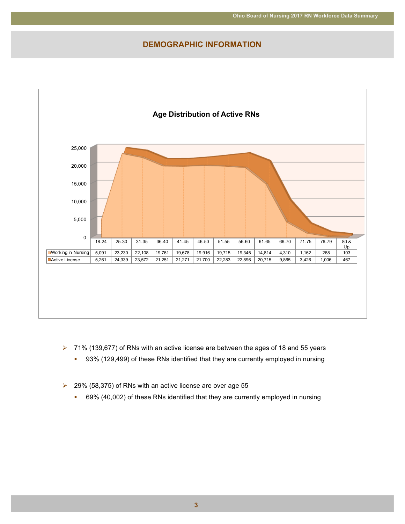## **DEMOGRAPHIC INFORMATION**



- 71% (139,677) of RNs with an active license are between the ages of 18 and 55 years  $\blacktriangleright$ 
	- 93% (129,499) of these RNs identified that they are currently employed in nursing a.
- 29% (58,375) of RNs with an active license are over age 55  $\blacktriangleright$ 
	- a. 69% (40,002) of these RNs identified that they are currently employed in nursing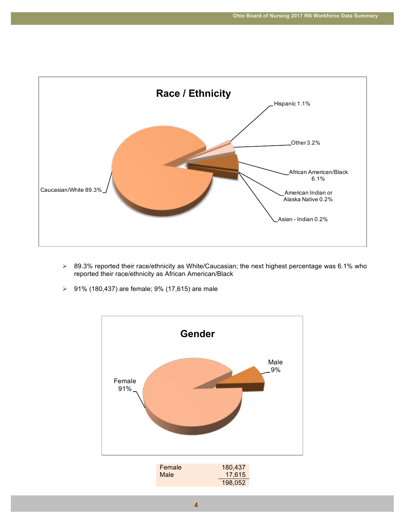

- ▶ 89.3% reported their race/ethnicity as White/Caucasian; the next highest percentage was 6.1% who reported their race/ethnicity as African American/Black
- ▶ 91% (180,437) are female; 9% (17,615) are male

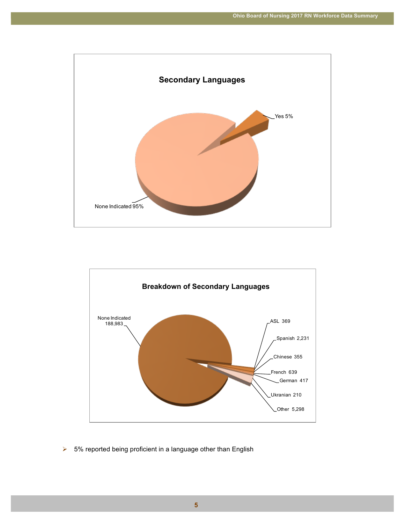



 $\triangleright$  5% reported being proficient in a language other than English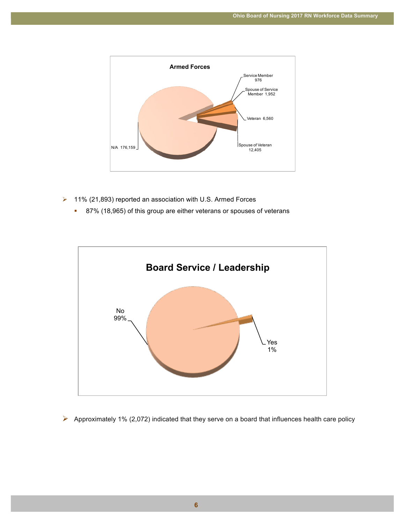

- $\triangleright$  11% (21,893) reported an association with U.S. Armed Forces
	- **87% (18,965) of this group are either veterans or spouses of veterans**



 $\triangleright$  Approximately 1% (2,072) indicated that they serve on a board that influences health care policy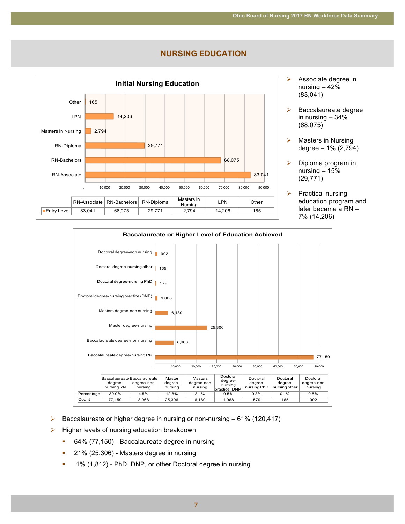



- $\triangleright$  Associate degree in nursing – 42% (83,041)
- $\triangleright$  Baccalaureate degree in nursing – 34% (68,075)
- $\triangleright$  Masters in Nursing degree – 1% (2,794)
- $\triangleright$  Diploma program in nursing – 15% (29,771)
- $\triangleright$  Practical nursing education program and later became a RN – 7% (14,206)



- $\triangleright$  Baccalaureate or higher degree in nursing or non-nursing 61% (120,417)
- $\triangleright$  Higher levels of nursing education breakdown
	- **64% (77,150)** Baccalaureate degree in nursing
	- 21% (25,306) Masters degree in nursing
	- **1% (1,812) PhD, DNP, or other Doctoral degree in nursing**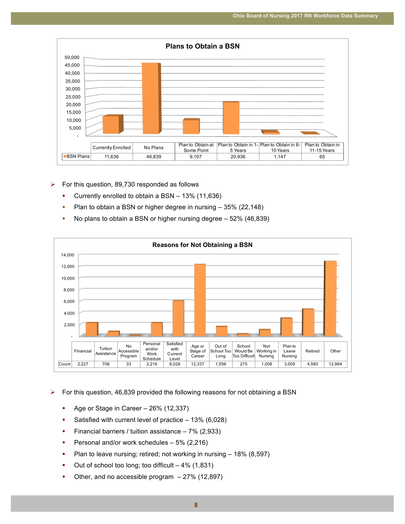

- $\triangleright$  For this question, 89,730 responded as follows
	- **•** Currently enrolled to obtain a BSN 13% (11,636)
	- **•** Plan to obtain a BSN or higher degree in nursing 35% (22,148)
	- **•** No plans to obtain a BSN or higher nursing degree 52% (46,839)



 $\triangleright$  For this question, 46,839 provided the following reasons for not obtaining a BSN

- **Age or Stage in Career 26% (12,337)**
- **Satisfied with current level of practice 13% (6,028)**
- **Financial barriers / tuition assistance 7% (2,933)**
- **Personal and/or work schedules 5% (2,216)**
- Plan to leave nursing; retired; not working in nursing  $-18\%$  (8,597)
- $\blacksquare$  Out of school too long; too difficult  $-4\%$  (1,831)
- Other, and no accessible program  $-27%$  (12,897)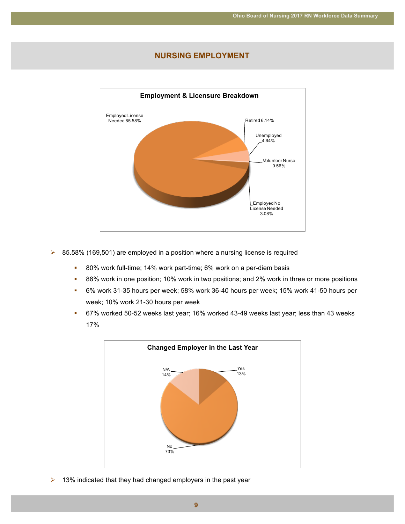### **NURSING EMPLOYMENT**



- $\triangleright$  85.58% (169,501) are employed in a position where a nursing license is required
	- **= 80% work full-time; 14% work part-time; 6% work on a per-diem basis**
	- **88% work in one position; 10% work in two positions; and 2% work in three or more positions**
	- # 6% work 31-35 hours per week; 58% work 36-40 hours per week; 15% work 41-50 hours per week; 10% work 21-30 hours per week
	- # 67% worked 50-52 weeks last year; 16% worked 43-49 weeks last year; less than 43 weeks 17%



 $\triangleright$  13% indicated that they had changed employers in the past year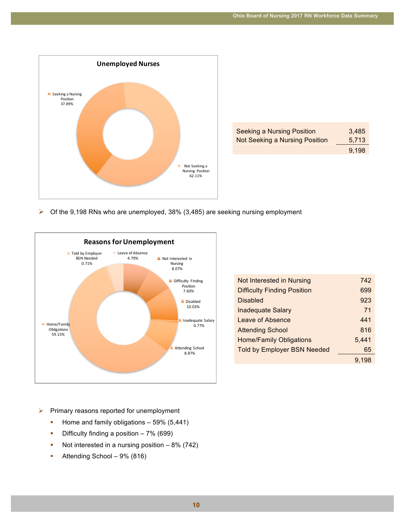

| <b>Seeking a Nursing Position</b> | 3.485 |
|-----------------------------------|-------|
| Not Seeking a Nursing Position    | 5,713 |
|                                   | 9.198 |

 $\triangleright$  Of the 9,198 RNs who are unemployed, 38% (3,485) are seeking nursing employment



| Not Interested in Nursing          | 742   |
|------------------------------------|-------|
| <b>Difficulty Finding Position</b> | 699   |
| <b>Disabled</b>                    | 923   |
| <b>Inadequate Salary</b>           | 71    |
| Leave of Absence                   | 441   |
| <b>Attending School</b>            | 816   |
| <b>Home/Family Obligations</b>     | 5,441 |
| <b>Told by Employer BSN Needed</b> | 65    |
|                                    | 9.198 |
|                                    |       |

- $\blacktriangleright$ Primary reasons reported for unemployment
	- Home and family obligations 59% (5,441) ×
	- Difficulty finding a position  $-7\%$  (699) ×
	- Not interested in a nursing position  $-8\%$  (742)  $\mathbf{r}$
	- Attending School 9% (816)  $\bar{a}$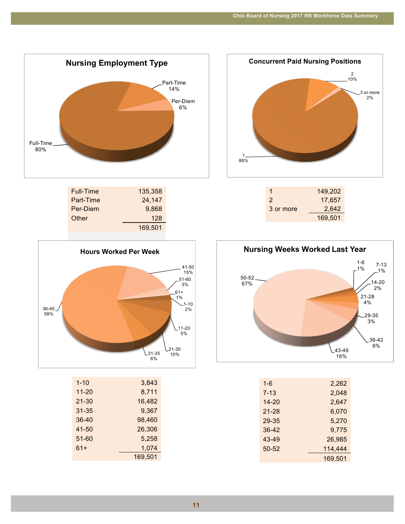

| 135,358 |  |
|---------|--|
| 24,147  |  |
| 9,868   |  |
| 128     |  |
| 169.501 |  |
|         |  |



| $1 - 10$ | 3,843   |
|----------|---------|
| 11-20    | 8,711   |
| 21-30    | 16,482  |
| 31-35    | 9,367   |
| 36-40    | 98,460  |
| 41-50    | 26,306  |
| 51-60    | 5,258   |
| $61+$    | 1,074   |
|          | 169,501 |



| 1         | 149,202 |
|-----------|---------|
| 2         | 17,657  |
| 3 or more | 2,642   |
|           | 169,501 |



| $1 - 6$ | 2,262   |
|---------|---------|
| 7-13    | 2,048   |
| 14-20   | 2,647   |
| 21-28   | 6,070   |
| 29-35   | 5,270   |
| 36-42   | 9,775   |
| 43-49   | 26,985  |
| 50-52   | 114,444 |
|         | 169,501 |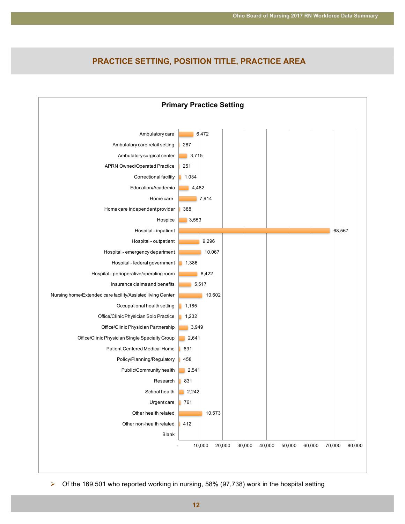## **PRACTICE SETTING, POSITION TITLE, PRACTICE AREA**



> Of the 169,501 who reported working in nursing, 58% (97,738) work in the hospital setting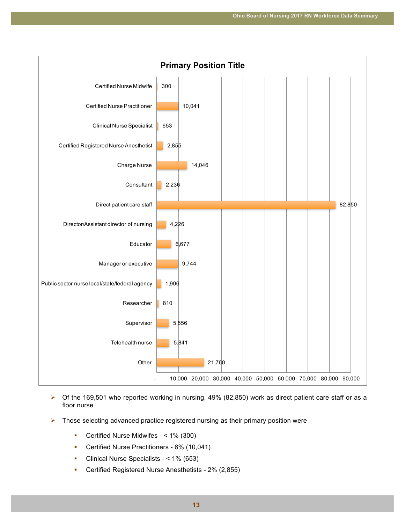

- $\triangleright$  Of the 169,501 who reported working in nursing, 49% (82,850) work as direct patient care staff or as a floor nurse
- $\triangleright$  Those selecting advanced practice registered nursing as their primary position were
	- **E** Certified Nurse Midwifes < 1% (300)
	- **E** Certified Nurse Practitioners 6% (10,041)
	- # Clinical Nurse Specialists < 1% (653)
	- # Certified Registered Nurse Anesthetists 2% (2,855)